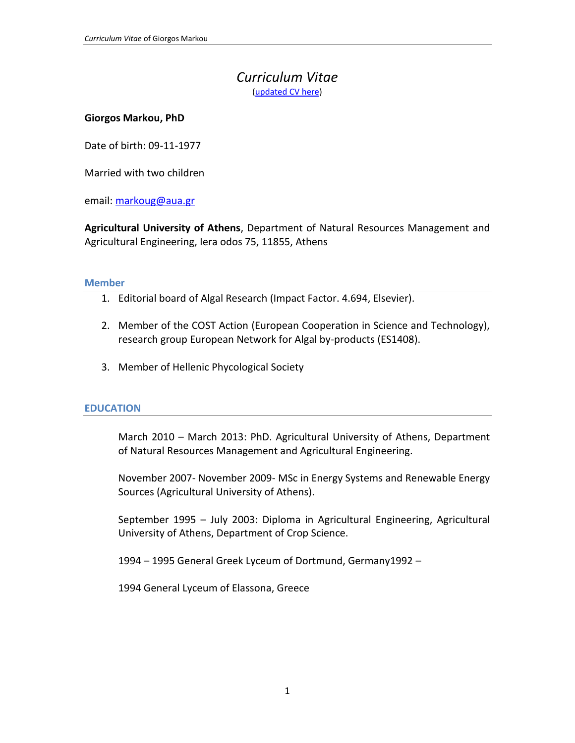# *Curriculum Vitae* [\(updated CV here\)](https://www.dropbox.com/s/30h9bw6dn3y542c/Giorgos%20Markou%20EN-%20cv.docx?dl=0)

#### **Giorgos Markou, PhD**

Date of birth: 09-11-1977

Married with two children

email[: markoug@aua.gr](mailto:markoug@aua.gr)

**Agricultural University of Athens**, Department of Natural Resources Management and Agricultural Engineering, Iera odos 75, 11855, Athens

#### **Member**

- 1. Editorial board of Algal Research (Impact Factor. 4.694, Elsevier).
- 2. Member of the COST Action (European Cooperation in Science and Technology), research group European Network for Algal by-products (ES1408).
- 3. Member of Hellenic Phycological Society

#### **EDUCATION**

March 2010 – March 2013: PhD. Agricultural University of Athens, Department of Natural Resources Management and Agricultural Engineering.

November 2007- November 2009- MSc in Energy Systems and Renewable Energy Sources (Agricultural University of Athens).

September 1995 – July 2003: Diploma in Agricultural Engineering, Agricultural University of Athens, Department of Crop Science.

1994 – 1995 General Greek Lyceum of Dortmund, Germany1992 –

1994 General Lyceum of Elassona, Greece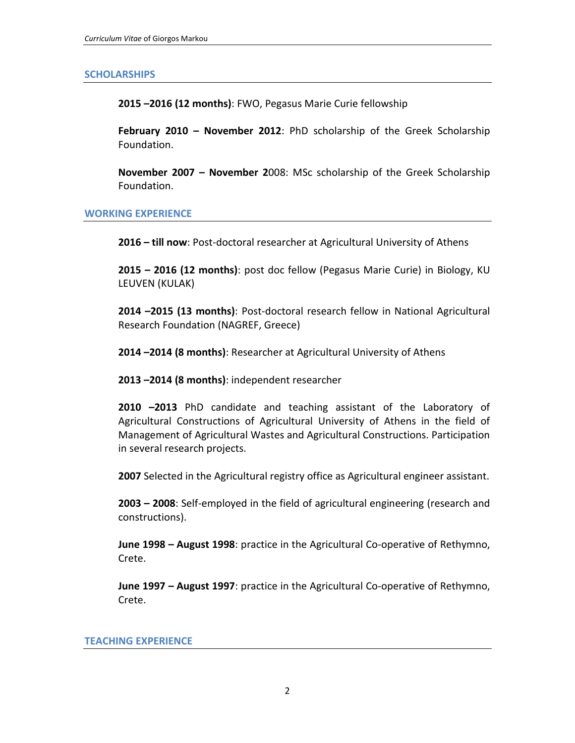#### **SCHOLARSHIPS**

**2015 –2016 (12 months)**: FWO, Pegasus Marie Curie fellowship

**February 2010 – November 2012**: PhD scholarship of the Greek Scholarship Foundation.

**November 2007 – November 2**008: MSc scholarship of the Greek Scholarship Foundation.

#### **WORKING EXPERIENCE**

**2016 – till now**: Post-doctoral researcher at Agricultural University of Athens

**2015 – 2016 (12 months)**: post doc fellow (Pegasus Marie Curie) in Biology, KU LEUVEN (KULAK)

**2014 –2015 (13 months)**: Post-doctoral research fellow in National Agricultural Research Foundation (NAGREF, Greece)

**2014 –2014 (8 months)**: Researcher at Agricultural University of Athens

**2013 –2014 (8 months)**: independent researcher

**2010 –2013** PhD candidate and teaching assistant of the Laboratory of Agricultural Constructions of Agricultural University of Athens in the field of Management of Agricultural Wastes and Agricultural Constructions. Participation in several research projects.

**2007** Selected in the Agricultural registry office as Agricultural engineer assistant.

**2003 – 2008**: Self-employed in the field of agricultural engineering (research and constructions).

**June 1998 – August 1998**: practice in the Agricultural Co-operative of Rethymno, Crete.

**June 1997 – August 1997**: practice in the Agricultural Co-operative of Rethymno, Crete.

#### **TEACHING EXPERIENCE**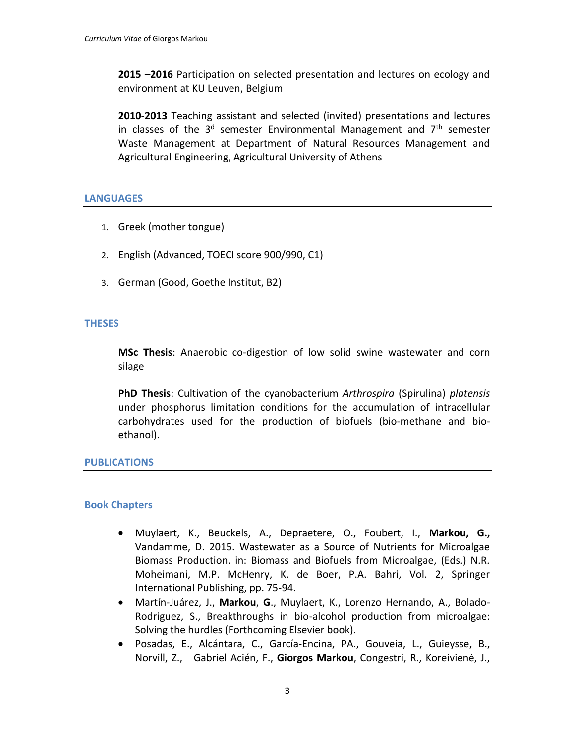**2015 –2016** Participation on selected presentation and lectures on ecology and environment at KU Leuven, Belgium

**2010-2013** Teaching assistant and selected (invited) presentations and lectures in classes of the  $3<sup>d</sup>$  semester Environmental Management and  $7<sup>th</sup>$  semester Waste Management at Department of Natural Resources Management and Agricultural Engineering, Agricultural University of Athens

### **LANGUAGES**

- 1. Greek (mother tongue)
- 2. English (Advanced, TOECI score 900/990, C1)
- 3. German (Good, Goethe Institut, B2)

### **THESES**

**MSc Thesis**: Anaerobic co-digestion of low solid swine wastewater and corn silage

**PhD Thesis**: Cultivation of the cyanobacterium *Arthrospira* (Spirulina) *platensis* under phosphorus limitation conditions for the accumulation of intracellular carbohydrates used for the production of biofuels (bio-methane and bioethanol).

#### **PUBLICATIONS**

## **Book Chapters**

- Muylaert, K., Beuckels, A., Depraetere, O., Foubert, I., **Markou, G.,** Vandamme, D. 2015. Wastewater as a Source of Nutrients for Microalgae Biomass Production. in: Biomass and Biofuels from Microalgae, (Eds.) N.R. Moheimani, M.P. McHenry, K. de Boer, P.A. Bahri, Vol. 2, Springer International Publishing, pp. 75-94.
- Martín-Juárez, J., **Markou**, **G**., Muylaert, K., Lorenzo Hernando, A., Bolado-Rodriguez, S., Breakthroughs in bio-alcohol production from microalgae: Solving the hurdles (Forthcoming Elsevier book).
- Posadas, E., Alcántara, C., García-Encina, PA., Gouveia, L., Guieysse, B., Norvill, Z., Gabriel Acién, F., **Giorgos Markou**, Congestri, R., Koreivienė, J.,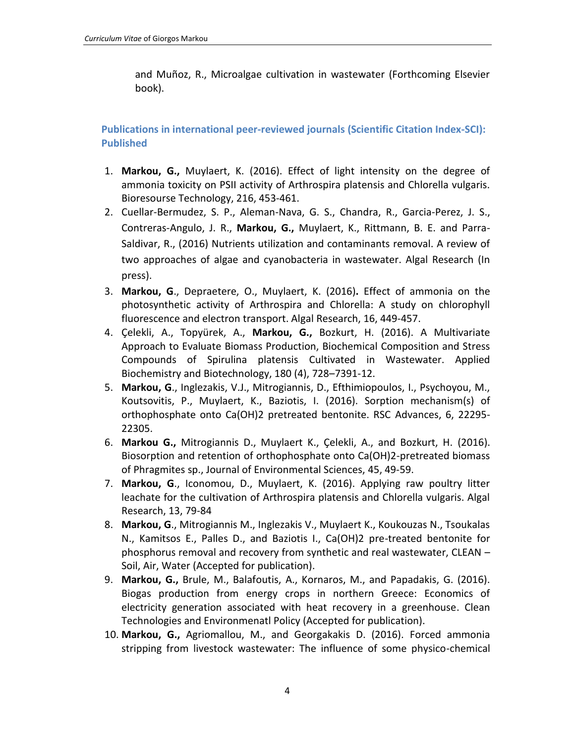and Muñoz, R., Microalgae cultivation in wastewater (Forthcoming Elsevier book).

**Publications in international peer-reviewed journals (Scientific Citation Index-SCI): Published**

- 1. **Markou, G.,** Muylaert, K. (2016). Effect of light intensity on the degree of ammonia toxicity on PSII activity of Arthrospira platensis and Chlorella vulgaris. Bioresourse Technology, 216, 453-461.
- 2. Cuellar-Bermudez, S. P., Aleman-Nava, G. S., Chandra, R., Garcia-Perez, J. S., Contreras-Angulo, J. R., **Markou, G.,** Muylaert, K., Rittmann, B. E. and Parra-Saldivar, R., (2016) Nutrients utilization and contaminants removal. A review of two approaches of algae and cyanobacteria in wastewater. Algal Research (In press).
- 3. **Markou, G**., Depraetere, O., Muylaert, K. (2016)**.** Effect of ammonia on the photosynthetic activity of Arthrospira and Chlorella: A study on chlorophyll fluorescence and electron transport. Algal Research, 16, 449-457.
- 4. Çelekli, A., Topyürek, A., **Markou, G.,** Bozkurt, H. (2016). A Multivariate Approach to Evaluate Biomass Production, Biochemical Composition and Stress Compounds of Spirulina platensis Cultivated in Wastewater. Applied Biochemistry and Biotechnology, 180 (4), 728–7391-12.
- 5. **Markou, G**., Inglezakis, V.J., Mitrogiannis, D., Efthimiopoulos, I., Psychoyou, M., Koutsovitis, P., Muylaert, K., Baziotis, I. (2016). Sorption mechanism(s) of orthophosphate onto Ca(OH)2 pretreated bentonite. RSC Advances, 6, 22295- 22305.
- 6. **Markou G.,** Mitrogiannis D., Muylaert K., Çelekli, A., and Bozkurt, H. (2016). Biosorption and retention of orthophosphate onto Ca(OH)2-pretreated biomass of Phragmites sp., Journal of Environmental Sciences, 45, 49-59.
- 7. **Markou, G**., Iconomou, D., Muylaert, K. (2016). Applying raw poultry litter leachate for the cultivation of Arthrospira platensis and Chlorella vulgaris. Algal Research, 13, 79-84
- 8. **Markou, G**., Mitrogiannis M., Inglezakis V., Muylaert K., Koukouzas N., Tsoukalas N., Kamitsos E., Palles D., and Baziotis I., Ca(OH)2 pre-treated bentonite for phosphorus removal and recovery from synthetic and real wastewater, CLEAN – Soil, Air, Water (Accepted for publication).
- 9. **Markou, G.,** Brule, M., Balafoutis, A., Kornaros, M., and Papadakis, G. (2016). Biogas production from energy crops in northern Greece: Economics of electricity generation associated with heat recovery in a greenhouse. Clean Technologies and Environmenatl Policy (Accepted for publication).
- 10. **Markou, G.,** Agriomallou, M., and Georgakakis D. (2016). Forced ammonia stripping from livestock wastewater: The influence of some physico-chemical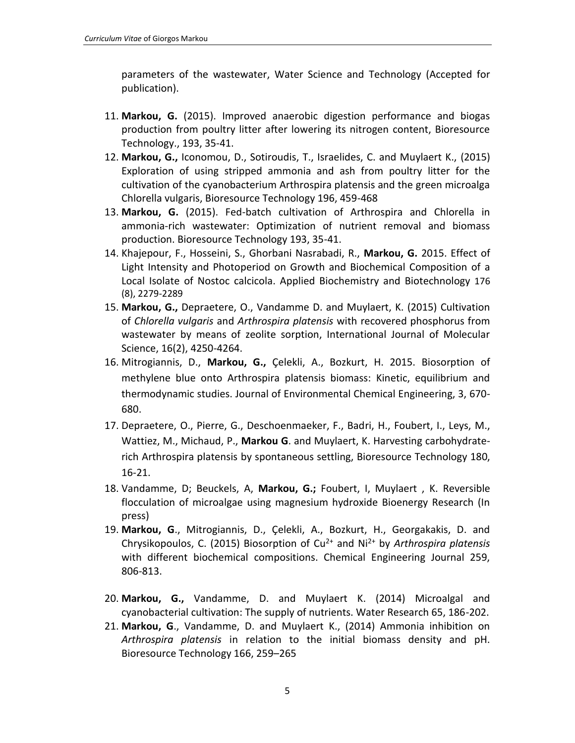parameters of the wastewater, Water Science and Technology (Accepted for publication).

- 11. **Markou, G.** (2015). Improved anaerobic digestion performance and biogas production from poultry litter after lowering its nitrogen content, Bioresource Technology., 193, 35-41.
- 12. **Markou, G.,** Iconomou, D., Sotiroudis, T., Israelides, C. and Muylaert K., (2015) Exploration of using stripped ammonia and ash from poultry litter for the cultivation of the cyanobacterium Arthrospira platensis and the green microalga Chlorella vulgaris, Bioresource Technology 196, 459-468
- 13. **Markou, G.** (2015). Fed-batch cultivation of Arthrospira and Chlorella in ammonia-rich wastewater: Optimization of nutrient removal and biomass production. Bioresource Technology 193, 35-41.
- 14. Khajepour, F., Hosseini, S., Ghorbani Nasrabadi, R., **Markou, G.** 2015. Effect of Light Intensity and Photoperiod on Growth and Biochemical Composition of a Local Isolate of Nostoc calcicola. Applied Biochemistry and Biotechnology 176 (8), 2279-2289
- 15. **Markou, G.,** Depraetere, O., Vandamme D. and Muylaert, K. (2015) Cultivation of *Chlorella vulgaris* and *Arthrospira platensis* with recovered phosphorus from wastewater by means of zeolite sorption, International Journal of Molecular Science, 16(2), 4250-4264.
- 16. Mitrogiannis, D., **Markou, G.,** Çelekli, A., Bozkurt, H. 2015. Biosorption of methylene blue onto Arthrospira platensis biomass: Kinetic, equilibrium and thermodynamic studies. Journal of Environmental Chemical Engineering, 3, 670- 680.
- 17. Depraetere, Ο., Pierre, G., Deschoenmaeker, F., Badri, H., Foubert, I., Leys, M., Wattiez, M., Michaud, P., **Markou G**. and Muylaert, K. Harvesting carbohydraterich Arthrospira platensis by spontaneous settling, Bioresource Technology 180, 16-21.
- 18. Vandamme, D; Beuckels, A, **Markou, G.;** Foubert, I, Muylaert , K. Reversible flocculation of microalgae using magnesium hydroxide Bioenergy Research (In press)
- 19. **Markou, G**., Mitrogiannis, D., Çelekli, A., Bozkurt, H., Georgakakis, D. and Chrysikopoulos, C. (2015) Biosorption of Cu2+ and Ni2+ by *Arthrospira platensis* with different biochemical compositions. Chemical Engineering Journal 259, 806-813.
- 20. **Markou, G.,** Vandamme, D. and Muylaert K. (2014) Microalgal and cyanobacterial cultivation: The supply of nutrients. Water Research 65, 186-202.
- 21. **Markou, G**., Vandamme, D. and Muylaert K., (2014) Ammonia inhibition on *Arthrospira platensis* in relation to the initial biomass density and pH. Bioresource Technology 166, 259–265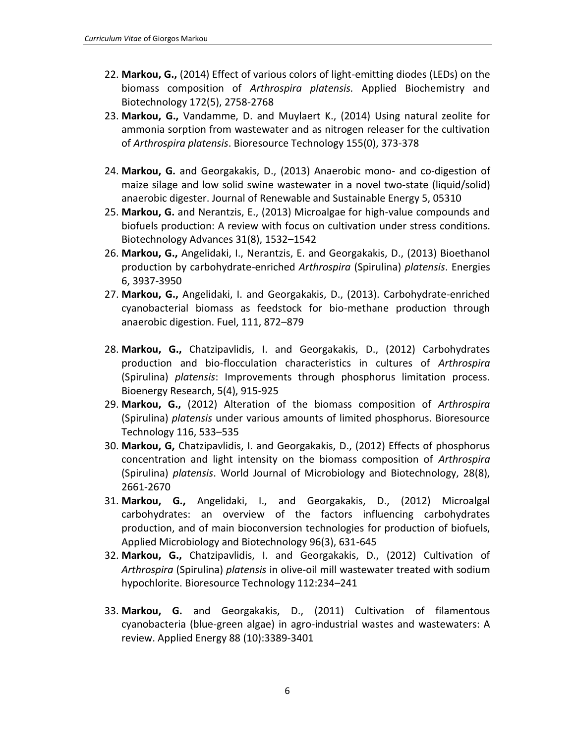- 22. **Markou, G.,** (2014) Effect of various colors of light-emitting diodes (LEDs) on the biomass composition of *Arthrospira platensis.* Applied Biochemistry and Biotechnology 172(5), 2758-2768
- 23. **Markou, G.,** Vandamme, D. and Muylaert K., (2014) Using natural zeolite for ammonia sorption from wastewater and as nitrogen releaser for the cultivation of *Arthrospira platensis*. Bioresource Technology 155(0), 373-378
- 24. **Markou, G.** and Georgakakis, D., (2013) Anaerobic mono- and co-digestion of maize silage and low solid swine wastewater in a novel two-state (liquid/solid) anaerobic digester. Journal of Renewable and Sustainable Energy 5, 05310
- 25. **Markou, G.** and Nerantzis, E., (2013) Microalgae for high-value compounds and biofuels production: A review with focus on cultivation under stress conditions. Biotechnology Advances 31(8), 1532–1542
- 26. **Markou, G.,** Angelidaki, I., Nerantzis, E. and Georgakakis, D., (2013) Bioethanol production by carbohydrate-enriched *Arthrospira* (Spirulina) *platensis*. Energies 6, 3937-3950
- 27. **Markou, G.,** Angelidaki, I. and Georgakakis, D., (2013). Carbohydrate-enriched cyanobacterial biomass as feedstock for bio-methane production through anaerobic digestion. Fuel, 111, 872–879
- 28. **Markou, G.,** Chatzipavlidis, I. and Georgakakis, D., (2012) Carbohydrates production and bio-flocculation characteristics in cultures of *Arthrospira* (Spirulina) *platensis*: Improvements through phosphorus limitation process. Bioenergy Research, 5(4), 915-925
- 29. **Markou, G.,** (2012) Alteration of the biomass composition of *Arthrospira* (Spirulina) *platensis* under various amounts of limited phosphorus. Bioresource Technology 116, 533–535
- 30. **Markou, G,** Chatzipavlidis, I. and Georgakakis, D., (2012) Effects of phosphorus concentration and light intensity on the biomass composition of *Arthrospira* (Spirulina) *platensis*. World Journal of Microbiology and Biotechnology, 28(8), 2661-2670
- 31. **Markou, G.,** Angelidaki, I., and Georgakakis, D., (2012) Microalgal carbohydrates: an overview of the factors influencing carbohydrates production, and of main bioconversion technologies for production of biofuels, Applied Microbiology and Biotechnology 96(3), 631-645
- 32. **Markou, G.,** Chatzipavlidis, I. and Georgakakis, D., (2012) Cultivation of *Arthrospira* (Spirulina) *platensis* in olive-oil mill wastewater treated with sodium hypochlorite. Bioresource Technology 112:234–241
- 33. **Markou, G.** and Georgakakis, D., (2011) Cultivation of filamentous cyanobacteria (blue-green algae) in agro-industrial wastes and wastewaters: A review. Applied Energy 88 (10):3389-3401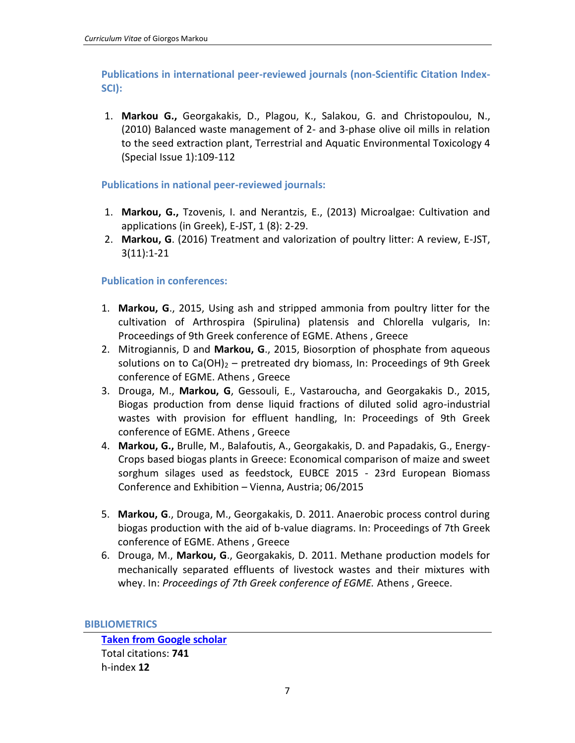**Publications in international peer-reviewed journals (non-Scientific Citation Index-SCI):**

1. **Markou G.,** Georgakakis, D., Plagou, K., Salakou, G. and Christopoulou, N., (2010) Balanced waste management of 2- and 3-phase olive oil mills in relation to the seed extraction plant, Terrestrial and Aquatic Environmental Toxicology 4 (Special Issue 1):109-112

## **Publications in national peer-reviewed journals:**

- 1. **Markou, G.,** Tzovenis, I. and Nerantzis, E., (2013) Microalgae: Cultivation and applications (in Greek), E-JST, 1 (8): 2-29.
- 2. **Markou, G**. (2016) Treatment and valorization of poultry litter: A review, E-JST, 3(11):1-21

## **Publication in conferences:**

- 1. **Markou, G**., 2015, Using ash and stripped ammonia from poultry litter for the cultivation of Arthrospira (Spirulina) platensis and Chlorella vulgaris, In: Proceedings of 9th Greek conference of EGME. Athens , Greece
- 2. Mitrogiannis, D and **Markou, G**., 2015, Biosorption of phosphate from aqueous solutions on to  $Ca(OH)_2$  – pretreated dry biomass, In: Proceedings of 9th Greek conference of EGME. Athens , Greece
- 3. Drouga, M., **Markou, G**, Gessouli, E., Vastaroucha, and Georgakakis D., 2015, Biogas production from dense liquid fractions of diluted solid agro-industrial wastes with provision for effluent handling, In: Proceedings of 9th Greek conference of EGME. Athens , Greece
- 4. **Markou, G.,** Brulle, M., Balafoutis, A., Georgakakis, D. and Papadakis, G., Energy-Crops based biogas plants in Greece: Economical comparison of maize and sweet sorghum silages used as feedstock, EUBCE 2015 - 23rd European Biomass Conference and Exhibition – Vienna, Austria; 06/2015
- 5. **Markou, G**., Drouga, M., Georgakakis, D. 2011. Anaerobic process control during biogas production with the aid of b-value diagrams. In: Proceedings of 7th Greek conference of EGME. Athens , Greece
- 6. Drouga, M., **Markou, G**., Georgakakis, D. 2011. Methane production models for mechanically separated effluents of livestock wastes and their mixtures with whey. In: *Proceedings of 7th Greek conference of EGME.* Athens , Greece.

**BIBLIOMETRICS**

**[Taken from Google scholar](http://scholar.google.gr/citations?user=zndoPUoAAAAJ&hl=el)** Total citations: **741** h-index **12**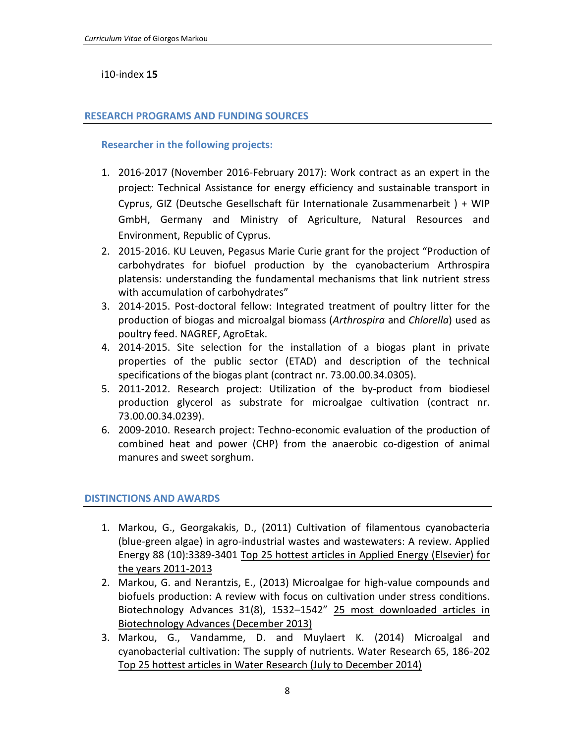## i10-index **15**

## **RESEARCH PROGRAMS AND FUNDING SOURCES**

## **Researcher in the following projects:**

- 1. 2016-2017 (November 2016-February 2017): Work contract as an expert in the project: Technical Assistance for energy efficiency and sustainable transport in Cyprus, GIZ (Deutsche Gesellschaft für Internationale Zusammenarbeit ) + WIP GmbH, Germany and Ministry of Agriculture, Natural Resources and Environment, Republic of Cyprus.
- 2. 2015-2016. KU Leuven, Pegasus Marie Curie grant for the project "Production of carbohydrates for biofuel production by the cyanobacterium Arthrospira platensis: understanding the fundamental mechanisms that link nutrient stress with accumulation of carbohydrates"
- 3. 2014-2015. Post-doctoral fellow: Integrated treatment of poultry litter for the production of biogas and microalgal biomass (*Arthrospira* and *Chlorella*) used as poultry feed. NAGREF, AgroEtak.
- 4. 2014-2015. Site selection for the installation of a biogas plant in private properties of the public sector (ETAD) and description of the technical specifications of the biogas plant (contract nr. 73.00.00.34.0305).
- 5. 2011-2012. Research project: Utilization of the by-product from biodiesel production glycerol as substrate for microalgae cultivation (contract nr. 73.00.00.34.0239).
- 6. 2009-2010. Research project: Techno-economic evaluation of the production of combined heat and power (CHP) from the anaerobic co-digestion of animal manures and sweet sorghum.

## **DISTINCTIONS AND AWARDS**

- 1. Markou, G., Georgakakis, D., (2011) Cultivation of filamentous cyanobacteria (blue-green algae) in agro-industrial wastes and wastewaters: A review. Applied Energy 88 (10):3389-3401 Top 25 hottest articles in Applied Energy (Elsevier) for the years 2011-2013
- 2. Markou, G. and Nerantzis, E., (2013) Microalgae for high-value compounds and biofuels production: A review with focus on cultivation under stress conditions. Biotechnology Advances 31(8), 1532–1542" 25 most downloaded articles in Biotechnology Advances (December 2013)
- 3. Markou, G., Vandamme, D. and Muylaert K. (2014) Microalgal and cyanobacterial cultivation: The supply of nutrients. Water Research 65, 186-202 Top 25 hottest articles in Water Research (July to December 2014)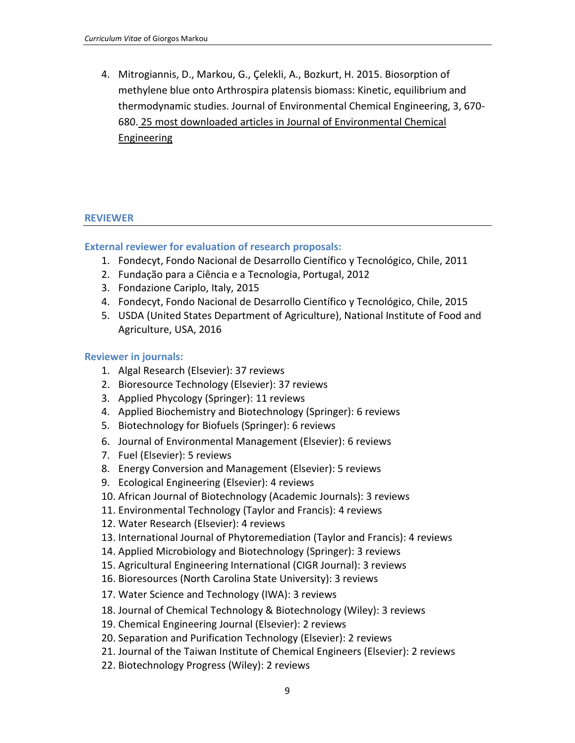4. Mitrogiannis, D., Markou, G., Çelekli, A., Bozkurt, H. 2015. Biosorption of methylene blue onto Arthrospira platensis biomass: Kinetic, equilibrium and thermodynamic studies. Journal of Environmental Chemical Engineering, 3, 670- 680. 25 most downloaded articles in Journal of Environmental Chemical Engineering

### **REVIEWER**

### **External reviewer for evaluation of research proposals:**

- 1. Fondecyt, Fondo Nacional de Desarrollo Científico y Tecnológico, Chile, 2011
- 2. Fundação para a Ciência e a Tecnologia, Portugal, 2012
- 3. Fondazione Cariplo, Italy, 2015
- 4. Fondecyt, Fondo Nacional de Desarrollo Científico y Tecnológico, Chile, 2015
- 5. USDA (United States Department of Agriculture), National Institute of Food and Agriculture, USA, 2016

### **Reviewer in journals:**

- 1. Algal Research (Elsevier): 37 reviews
- 2. Bioresource Technology (Elsevier): 37 reviews
- 3. Applied Phycology (Springer): 11 reviews
- 4. Applied Biochemistry and Biotechnology (Springer): 6 reviews
- 5. Biotechnology for Biofuels (Springer): 6 reviews
- 6. Journal of Environmental Management (Elsevier): 6 reviews
- 7. Fuel (Elsevier): 5 reviews
- 8. Energy Conversion and Management (Elsevier): 5 reviews
- 9. Ecological Engineering (Elsevier): 4 reviews
- 10. African Journal of Biotechnology (Academic Journals): 3 reviews
- 11. Environmental Technology (Taylor and Francis): 4 reviews
- 12. Water Research (Elsevier): 4 reviews
- 13. International Journal of Phytoremediation (Taylor and Francis): 4 reviews
- 14. Applied Microbiology and Biotechnology (Springer): 3 reviews
- 15. Agricultural Engineering International (CIGR Journal): 3 reviews
- 16. Bioresources (North Carolina State University): 3 reviews
- 17. Water Science and Technology (IWA): 3 reviews
- 18. Journal of Chemical Technology & Biotechnology (Wiley): 3 reviews
- 19. Chemical Engineering Journal (Elsevier): 2 reviews
- 20. Separation and Purification Technology (Elsevier): 2 reviews
- 21. Journal of the Taiwan Institute of Chemical Engineers (Elsevier): 2 reviews
- 22. Biotechnology Progress (Wiley): 2 reviews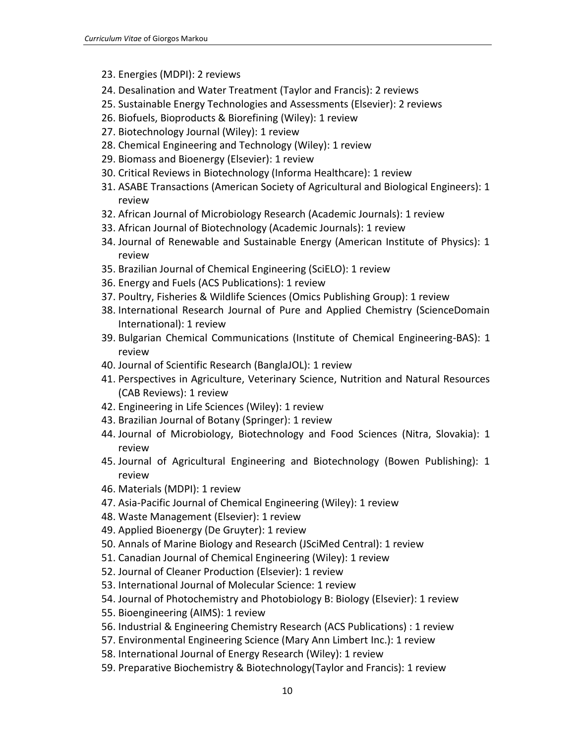- 23. Energies (MDPI): 2 reviews
- 24. Desalination and Water Treatment (Taylor and Francis): 2 reviews
- 25. Sustainable Energy Technologies and Assessments (Elsevier): 2 reviews
- 26. Biofuels, Bioproducts & Biorefining (Wiley): 1 review
- 27. Biotechnology Journal (Wiley): 1 review
- 28. Chemical Engineering and Technology (Wiley): 1 review
- 29. Biomass and Bioenergy (Elsevier): 1 review
- 30. Critical Reviews in Biotechnology (Informa Healthcare): 1 review
- 31. ASABE Transactions (American Society of Agricultural and Biological Engineers): 1 review
- 32. African Journal of Microbiology Research (Academic Journals): 1 review
- 33. African Journal of Biotechnology (Academic Journals): 1 review
- 34. Journal of Renewable and Sustainable Energy (American Institute of Physics): 1 review
- 35. Brazilian Journal of Chemical Engineering (SciELO): 1 review
- 36. Energy and Fuels (ACS Publications): 1 review
- 37. Poultry, Fisheries & Wildlife Sciences (Omics Publishing Group): 1 review
- 38. International Research Journal of Pure and Applied Chemistry (ScienceDomain International): 1 review
- 39. Bulgarian Chemical Communications (Institute of Chemical Engineering-BAS): 1 review
- 40. Journal of Scientific Research (BanglaJOL): 1 review
- 41. Perspectives in Agriculture, Veterinary Science, Nutrition and Natural Resources (CAB Reviews): 1 review
- 42. Engineering in Life Sciences (Wiley): 1 review
- 43. Brazilian Journal of Botany (Springer): 1 review
- 44. Journal of Microbiology, Biotechnology and Food Sciences (Nitra, Slovakia): 1 review
- 45. Journal of Agricultural Engineering and Biotechnology (Bowen Publishing): 1 review
- 46. Materials (MDPI): 1 review
- 47. Asia-Pacific Journal of Chemical Engineering (Wiley): 1 review
- 48. Waste Management (Elsevier): 1 review
- 49. Applied Bioenergy (De Gruyter): 1 review
- 50. Annals of Marine Biology and Research (JSciMed Central): 1 review
- 51. Canadian Journal of Chemical Engineering (Wiley): 1 review
- 52. Journal of Cleaner Production (Elsevier): 1 review
- 53. International Journal of Molecular Science: 1 review
- 54. Journal of Photochemistry and Photobiology B: Biology (Elsevier): 1 review
- 55. Bioengineering (AIMS): 1 review
- 56. Industrial & Engineering Chemistry Research (ACS Publications) : 1 review
- 57. Environmental Engineering Science (Mary Ann Limbert Inc.): 1 review
- 58. International Journal of Energy Research (Wiley): 1 review
- 59. Preparative Biochemistry & Biotechnology(Taylor and Francis): 1 review